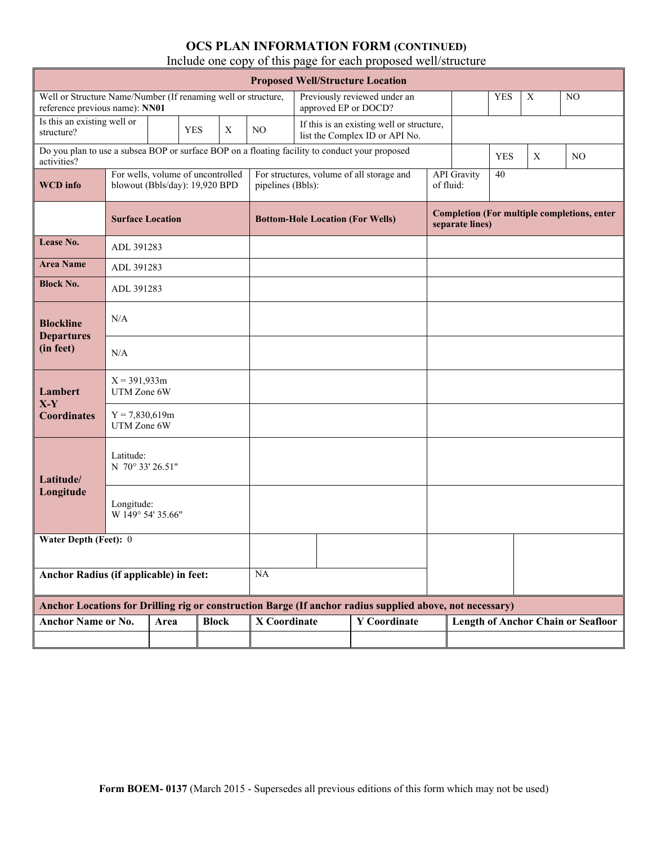| <b>Proposed Well/Structure Location</b>                                                         |                                                                     |      |            |              |                   |                                                                                                |                                                                                                          |                                 |                                                    |            |                           |                                           |  |
|-------------------------------------------------------------------------------------------------|---------------------------------------------------------------------|------|------------|--------------|-------------------|------------------------------------------------------------------------------------------------|----------------------------------------------------------------------------------------------------------|---------------------------------|----------------------------------------------------|------------|---------------------------|-------------------------------------------|--|
| Well or Structure Name/Number (If renaming well or structure,<br>reference previous name): NN01 |                                                                     |      |            |              |                   | approved EP or DOCD?                                                                           | Previously reviewed under an                                                                             |                                 |                                                    | <b>YES</b> | $\boldsymbol{\mathrm{X}}$ | NO                                        |  |
| Is this an existing well or<br>structure?                                                       |                                                                     |      | <b>YES</b> | X            | NO.               |                                                                                                | If this is an existing well or structure,<br>list the Complex ID or API No.                              |                                 |                                                    |            |                           |                                           |  |
| activities?                                                                                     |                                                                     |      |            |              |                   | Do you plan to use a subsea BOP or surface BOP on a floating facility to conduct your proposed |                                                                                                          |                                 |                                                    |            | X                         | NO                                        |  |
| <b>WCD</b> info                                                                                 | For wells, volume of uncontrolled<br>blowout (Bbls/day): 19,920 BPD |      |            |              | pipelines (Bbls): |                                                                                                | For structures, volume of all storage and                                                                | <b>API</b> Gravity<br>of fluid: | 40                                                 |            |                           |                                           |  |
|                                                                                                 | <b>Surface Location</b>                                             |      |            |              |                   | <b>Bottom-Hole Location (For Wells)</b>                                                        |                                                                                                          | separate lines)                 | <b>Completion (For multiple completions, enter</b> |            |                           |                                           |  |
| Lease No.                                                                                       | ADL 391283                                                          |      |            |              |                   |                                                                                                |                                                                                                          |                                 |                                                    |            |                           |                                           |  |
| <b>Area Name</b>                                                                                | ADL 391283                                                          |      |            |              |                   |                                                                                                |                                                                                                          |                                 |                                                    |            |                           |                                           |  |
| <b>Block No.</b>                                                                                | ADL 391283                                                          |      |            |              |                   |                                                                                                |                                                                                                          |                                 |                                                    |            |                           |                                           |  |
| <b>Blockline</b><br><b>Departures</b>                                                           | N/A                                                                 |      |            |              |                   |                                                                                                |                                                                                                          |                                 |                                                    |            |                           |                                           |  |
| (in feet)                                                                                       | N/A                                                                 |      |            |              |                   |                                                                                                |                                                                                                          |                                 |                                                    |            |                           |                                           |  |
| Lambert<br>$X-Y$                                                                                | $X = 391,933m$<br>UTM Zone 6W                                       |      |            |              |                   |                                                                                                |                                                                                                          |                                 |                                                    |            |                           |                                           |  |
| <b>Coordinates</b>                                                                              | $Y = 7,830,619m$<br>UTM Zone 6W                                     |      |            |              |                   |                                                                                                |                                                                                                          |                                 |                                                    |            |                           |                                           |  |
| Latitude/                                                                                       | Latitude:<br>N 70° 33' 26.51"                                       |      |            |              |                   |                                                                                                |                                                                                                          |                                 |                                                    |            |                           |                                           |  |
| Longitude                                                                                       | Longitude:<br>W 149° 54' 35.66"                                     |      |            |              |                   |                                                                                                |                                                                                                          |                                 |                                                    |            |                           |                                           |  |
| Water Depth (Feet): 0                                                                           |                                                                     |      |            |              |                   |                                                                                                |                                                                                                          |                                 |                                                    |            |                           |                                           |  |
| Anchor Radius (if applicable) in feet:                                                          |                                                                     |      |            | NA           |                   |                                                                                                |                                                                                                          |                                 |                                                    |            |                           |                                           |  |
|                                                                                                 |                                                                     |      |            |              |                   |                                                                                                | Anchor Locations for Drilling rig or construction Barge (If anchor radius supplied above, not necessary) |                                 |                                                    |            |                           |                                           |  |
| <b>Anchor Name or No.</b>                                                                       |                                                                     | Area |            | <b>Block</b> | X Coordinate      |                                                                                                | <b>Y</b> Coordinate                                                                                      |                                 |                                                    |            |                           | <b>Length of Anchor Chain or Seafloor</b> |  |
|                                                                                                 |                                                                     |      |            |              |                   |                                                                                                |                                                                                                          |                                 |                                                    |            |                           |                                           |  |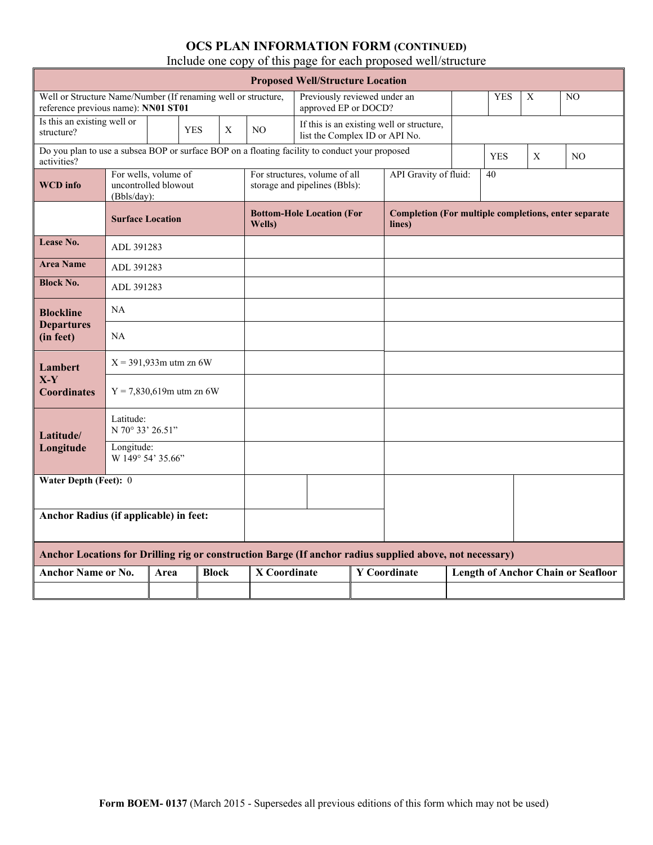| <b>Proposed Well/Structure Location</b>                                                                       |                                                             |      |            |              |                     |                                                                |  |                                           |  |                                                      |                           |                                           |  |  |  |
|---------------------------------------------------------------------------------------------------------------|-------------------------------------------------------------|------|------------|--------------|---------------------|----------------------------------------------------------------|--|-------------------------------------------|--|------------------------------------------------------|---------------------------|-------------------------------------------|--|--|--|
| Well or Structure Name/Number (If renaming well or structure,<br>reference previous name): NN01 ST01          |                                                             |      |            |              |                     | Previously reviewed under an<br>approved EP or DOCD?           |  |                                           |  | <b>YES</b>                                           | X                         | N <sub>O</sub>                            |  |  |  |
| Is this an existing well or<br>structure?                                                                     |                                                             |      | <b>YES</b> | X            | N <sub>O</sub>      | list the Complex ID or API No.                                 |  | If this is an existing well or structure, |  |                                                      |                           |                                           |  |  |  |
| Do you plan to use a subsea BOP or surface BOP on a floating facility to conduct your proposed<br>activities? |                                                             |      |            |              |                     |                                                                |  |                                           |  | <b>YES</b>                                           | $\boldsymbol{\mathrm{X}}$ | N <sub>O</sub>                            |  |  |  |
| <b>WCD</b> info                                                                                               | For wells, volume of<br>uncontrolled blowout<br>(Bbls/day): |      |            |              |                     | For structures, volume of all<br>storage and pipelines (Bbls): |  | API Gravity of fluid:<br>40               |  |                                                      |                           |                                           |  |  |  |
|                                                                                                               | <b>Surface Location</b>                                     |      |            |              | Wells)              | <b>Bottom-Hole Location (For</b><br>lines)                     |  |                                           |  | Completion (For multiple completions, enter separate |                           |                                           |  |  |  |
| Lease No.                                                                                                     | ADL 391283                                                  |      |            |              |                     |                                                                |  |                                           |  |                                                      |                           |                                           |  |  |  |
| <b>Area Name</b>                                                                                              | ADL 391283                                                  |      |            |              |                     |                                                                |  |                                           |  |                                                      |                           |                                           |  |  |  |
| <b>Block No.</b>                                                                                              | ADL 391283                                                  |      |            |              |                     |                                                                |  |                                           |  |                                                      |                           |                                           |  |  |  |
| <b>Blockline</b>                                                                                              | NA                                                          |      |            |              |                     |                                                                |  |                                           |  |                                                      |                           |                                           |  |  |  |
| <b>Departures</b><br>(in feet)                                                                                | NA                                                          |      |            |              |                     |                                                                |  |                                           |  |                                                      |                           |                                           |  |  |  |
| Lambert                                                                                                       | $X = 391,933$ m utm zn 6W                                   |      |            |              |                     |                                                                |  |                                           |  |                                                      |                           |                                           |  |  |  |
| $X-Y$<br><b>Coordinates</b>                                                                                   | $Y = 7,830,619$ m utm zn 6W                                 |      |            |              |                     |                                                                |  |                                           |  |                                                      |                           |                                           |  |  |  |
| Latitude/                                                                                                     | Latitude:<br>N 70° 33' 26.51"                               |      |            |              |                     |                                                                |  |                                           |  |                                                      |                           |                                           |  |  |  |
| Longitude                                                                                                     | Longitude:<br>W 149° 54' 35.66"                             |      |            |              |                     |                                                                |  |                                           |  |                                                      |                           |                                           |  |  |  |
| Water Depth (Feet): 0                                                                                         |                                                             |      |            |              |                     |                                                                |  |                                           |  |                                                      |                           |                                           |  |  |  |
|                                                                                                               |                                                             |      |            |              |                     |                                                                |  |                                           |  |                                                      |                           |                                           |  |  |  |
| Anchor Radius (if applicable) in feet:                                                                        |                                                             |      |            |              |                     |                                                                |  |                                           |  |                                                      |                           |                                           |  |  |  |
| Anchor Locations for Drilling rig or construction Barge (If anchor radius supplied above, not necessary)      |                                                             |      |            |              |                     |                                                                |  |                                           |  |                                                      |                           |                                           |  |  |  |
| <b>Anchor Name or No.</b>                                                                                     |                                                             | Area |            | <b>Block</b> | <b>X</b> Coordinate |                                                                |  | <b>Y</b> Coordinate                       |  |                                                      |                           | <b>Length of Anchor Chain or Seafloor</b> |  |  |  |
|                                                                                                               |                                                             |      |            |              |                     |                                                                |  |                                           |  |                                                      |                           |                                           |  |  |  |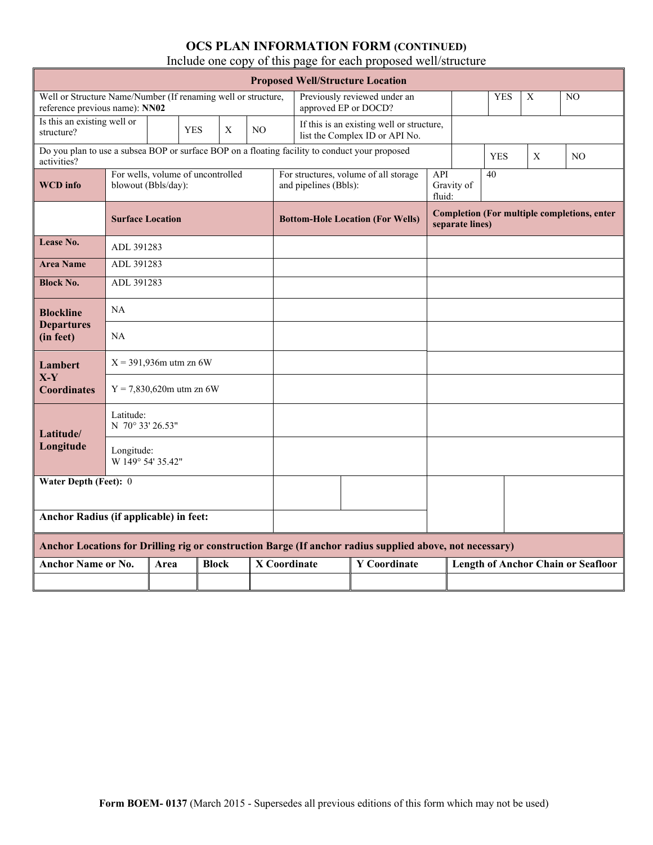| <b>Proposed Well/Structure Location</b>                                                                       |                                                          |      |            |              |                |  |                       |                                                                                                          |               |                                                                       |            |   |                                           |  |  |
|---------------------------------------------------------------------------------------------------------------|----------------------------------------------------------|------|------------|--------------|----------------|--|-----------------------|----------------------------------------------------------------------------------------------------------|---------------|-----------------------------------------------------------------------|------------|---|-------------------------------------------|--|--|
| Well or Structure Name/Number (If renaming well or structure,<br>reference previous name): NN02               |                                                          |      |            |              |                |  | approved EP or DOCD?  | Previously reviewed under an                                                                             |               |                                                                       | <b>YES</b> | X | NO.                                       |  |  |
| Is this an existing well or<br>structure?                                                                     |                                                          |      | <b>YES</b> | X            | N <sub>O</sub> |  |                       | If this is an existing well or structure,<br>list the Complex ID or API No.                              |               |                                                                       |            |   |                                           |  |  |
| Do you plan to use a subsea BOP or surface BOP on a floating facility to conduct your proposed<br>activities? |                                                          |      |            |              |                |  |                       |                                                                                                          |               |                                                                       | <b>YES</b> | X | N <sub>O</sub>                            |  |  |
| <b>WCD</b> info                                                                                               | For wells, volume of uncontrolled<br>blowout (Bbls/day): |      |            |              |                |  | and pipelines (Bbls): | For structures, volume of all storage                                                                    | API<br>fluid: | 40<br>Gravity of                                                      |            |   |                                           |  |  |
|                                                                                                               | <b>Surface Location</b>                                  |      |            |              |                |  |                       | <b>Bottom-Hole Location (For Wells)</b>                                                                  |               | <b>Completion (For multiple completions, enter</b><br>separate lines) |            |   |                                           |  |  |
| <b>Lease No.</b>                                                                                              | ADL 391283                                               |      |            |              |                |  |                       |                                                                                                          |               |                                                                       |            |   |                                           |  |  |
| <b>Area Name</b>                                                                                              | ADL 391283                                               |      |            |              |                |  |                       |                                                                                                          |               |                                                                       |            |   |                                           |  |  |
| <b>Block No.</b>                                                                                              | ADL 391283                                               |      |            |              |                |  |                       |                                                                                                          |               |                                                                       |            |   |                                           |  |  |
| <b>Blockline</b>                                                                                              | NA                                                       |      |            |              |                |  |                       |                                                                                                          |               |                                                                       |            |   |                                           |  |  |
| <b>Departures</b><br>(in feet)                                                                                | NA                                                       |      |            |              |                |  |                       |                                                                                                          |               |                                                                       |            |   |                                           |  |  |
| Lambert                                                                                                       | $X = 391,936$ m utm zn 6W                                |      |            |              |                |  |                       |                                                                                                          |               |                                                                       |            |   |                                           |  |  |
| $X-Y$<br><b>Coordinates</b>                                                                                   | $Y = 7,830,620$ m utm zn 6W                              |      |            |              |                |  |                       |                                                                                                          |               |                                                                       |            |   |                                           |  |  |
| Latitude/                                                                                                     | Latitude:<br>N 70° 33' 26.53"                            |      |            |              |                |  |                       |                                                                                                          |               |                                                                       |            |   |                                           |  |  |
| Longitude                                                                                                     | Longitude:<br>W 149° 54' 35.42"                          |      |            |              |                |  |                       |                                                                                                          |               |                                                                       |            |   |                                           |  |  |
| Water Depth (Feet): 0                                                                                         |                                                          |      |            |              |                |  |                       |                                                                                                          |               |                                                                       |            |   |                                           |  |  |
|                                                                                                               |                                                          |      |            |              |                |  |                       |                                                                                                          |               |                                                                       |            |   |                                           |  |  |
| Anchor Radius (if applicable) in feet:                                                                        |                                                          |      |            |              |                |  |                       |                                                                                                          |               |                                                                       |            |   |                                           |  |  |
|                                                                                                               |                                                          |      |            |              |                |  |                       | Anchor Locations for Drilling rig or construction Barge (If anchor radius supplied above, not necessary) |               |                                                                       |            |   |                                           |  |  |
| <b>Anchor Name or No.</b>                                                                                     |                                                          | Area |            | <b>Block</b> |                |  | <b>X</b> Coordinate   | <b>Y</b> Coordinate                                                                                      |               |                                                                       |            |   | <b>Length of Anchor Chain or Seafloor</b> |  |  |
|                                                                                                               |                                                          |      |            |              |                |  |                       |                                                                                                          |               |                                                                       |            |   |                                           |  |  |